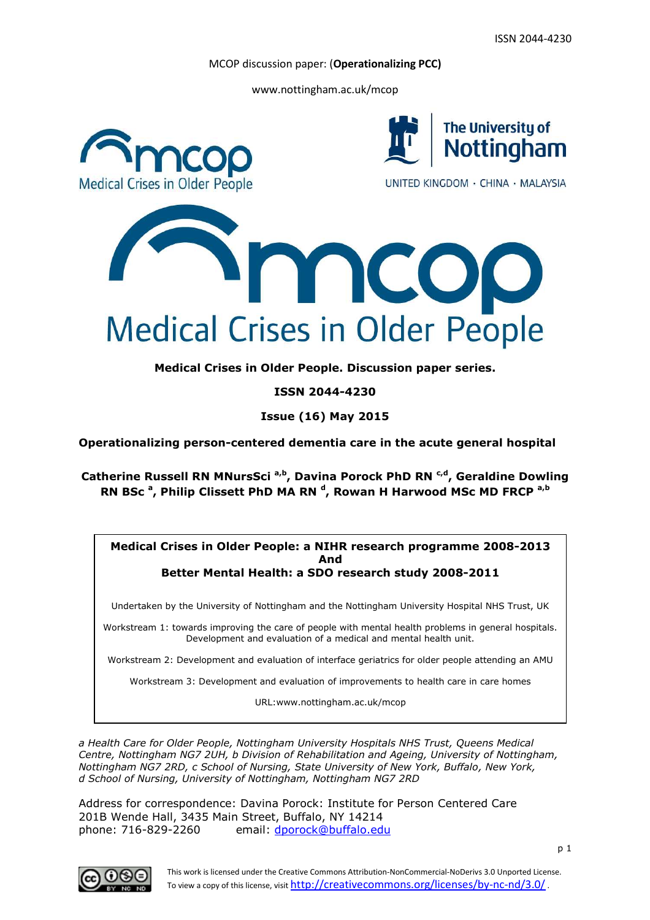www.nottingham.ac.uk/mcop



**Medical Crises in Older People. Discussion paper series.**

**ISSN 2044-4230**

**Issue (16) May 2015**

**Operationalizing person-centered dementia care in the acute general hospital**

**Catherine Russell RN MNursSci a,b, Davina Porock PhD RN c,d, Geraldine Dowling RN BSc <sup>a</sup> , Philip Clissett PhD MA RN <sup>d</sup> , Rowan H Harwood MSc MD FRCP a,b**

### **Medical Crises in Older People: a NIHR research programme 2008-2013 And Better Mental Health: a SDO research study 2008-2011**

Undertaken by the University of Nottingham and the Nottingham University Hospital NHS Trust, UK

Workstream 1: towards improving the care of people with mental health problems in general hospitals. Development and evaluation of a medical and mental health unit.

Workstream 2: Development and evaluation of interface geriatrics for older people attending an AMU

Workstream 3: Development and evaluation of improvements to health care in care homes

URL:www.nottingham.ac.uk/mcop

*a Health Care for Older People, Nottingham University Hospitals NHS Trust, Queens Medical Centre, Nottingham NG7 2UH, b Division of Rehabilitation and Ageing, University of Nottingham, Nottingham NG7 2RD, c School of Nursing, State University of New York, Buffalo, New York, d School of Nursing, University of Nottingham, Nottingham NG7 2RD*

Address for correspondence: Davina Porock: Institute for Person Centered Care 201B Wende Hall, 3435 Main Street, Buffalo, NY 14214 phone: 716-829-2260 email: dporock@buffalo.edu

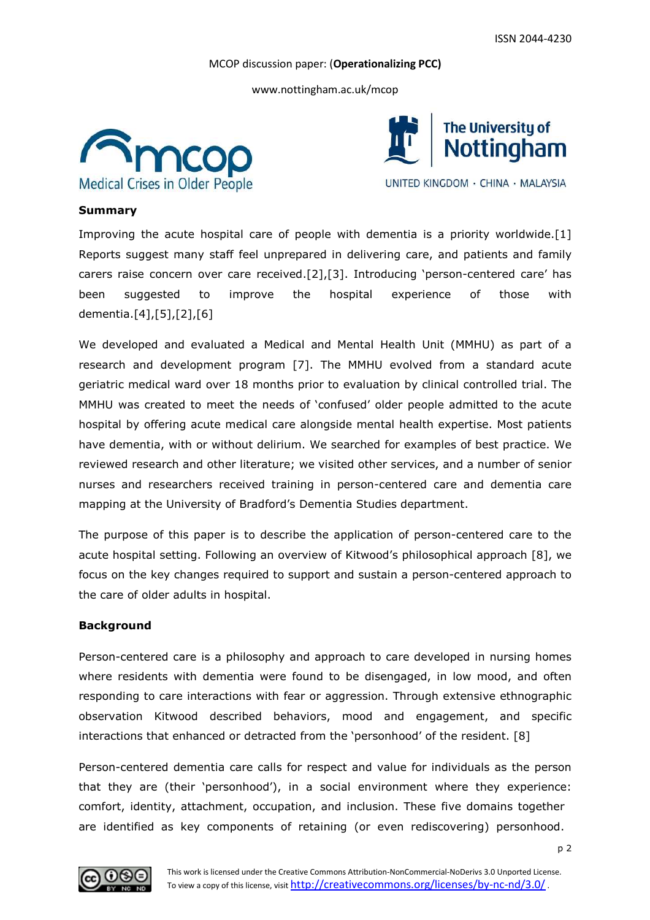www.nottingham.ac.uk/mcop





UNITED KINGDOM · CHINA · MALAYSIA

## **Summary**

Improving the acute hospital care of people with dementia is a priority worldwide.[1] Reports suggest many staff feel unprepared in delivering care, and patients and family carers raise concern over care received.[2],[3]. Introducing 'person-centered care' has been suggested to improve the hospital experience of those with dementia.[4],[5],[2],[6]

We developed and evaluated a Medical and Mental Health Unit (MMHU) as part of a research and development program [7]. The MMHU evolved from a standard acute geriatric medical ward over 18 months prior to evaluation by clinical controlled trial. The MMHU was created to meet the needs of 'confused' older people admitted to the acute hospital by offering acute medical care alongside mental health expertise. Most patients have dementia, with or without delirium. We searched for examples of best practice. We reviewed research and other literature; we visited other services, and a number of senior nurses and researchers received training in person-centered care and dementia care mapping at the University of Bradford's Dementia Studies department.

The purpose of this paper is to describe the application of person-centered care to the acute hospital setting. Following an overview of Kitwood's philosophical approach [8], we focus on the key changes required to support and sustain a person-centered approach to the care of older adults in hospital.

# **Background**

Person-centered care is a philosophy and approach to care developed in nursing homes where residents with dementia were found to be disengaged, in low mood, and often responding to care interactions with fear or aggression. Through extensive ethnographic observation Kitwood described behaviors, mood and engagement, and specific interactions that enhanced or detracted from the 'personhood' of the resident. [8]

Person-centered dementia care calls for respect and value for individuals as the person that they are (their 'personhood'), in a social environment where they experience: comfort, identity, attachment, occupation, and inclusion. These five domains together are identified as key components of retaining (or even rediscovering) personhood.

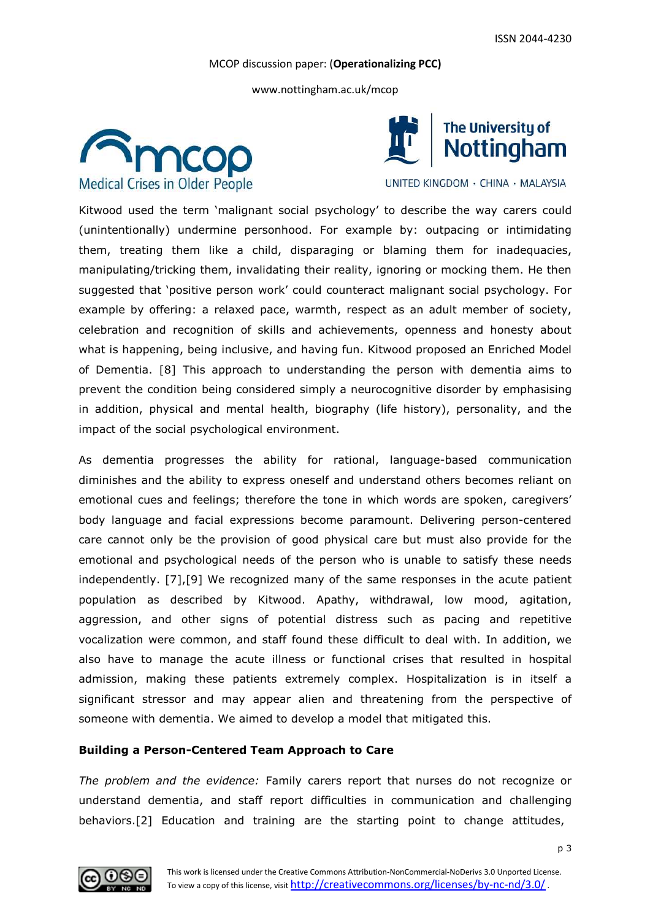www.nottingham.ac.uk/mcop





UNITED KINGDOM · CHINA · MALAYSIA

Kitwood used the term 'malignant social psychology' to describe the way carers could (unintentionally) undermine personhood. For example by: outpacing or intimidating them, treating them like a child, disparaging or blaming them for inadequacies, manipulating/tricking them, invalidating their reality, ignoring or mocking them. He then suggested that 'positive person work' could counteract malignant social psychology. For example by offering: a relaxed pace, warmth, respect as an adult member of society, celebration and recognition of skills and achievements, openness and honesty about what is happening, being inclusive, and having fun. Kitwood proposed an Enriched Model of Dementia. [8] This approach to understanding the person with dementia aims to prevent the condition being considered simply a neurocognitive disorder by emphasising in addition, physical and mental health, biography (life history), personality, and the impact of the social psychological environment.

As dementia progresses the ability for rational, language-based communication diminishes and the ability to express oneself and understand others becomes reliant on emotional cues and feelings; therefore the tone in which words are spoken, caregivers' body language and facial expressions become paramount. Delivering person-centered care cannot only be the provision of good physical care but must also provide for the emotional and psychological needs of the person who is unable to satisfy these needs independently. [7],[9] We recognized many of the same responses in the acute patient population as described by Kitwood. Apathy, withdrawal, low mood, agitation, aggression, and other signs of potential distress such as pacing and repetitive vocalization were common, and staff found these difficult to deal with. In addition, we also have to manage the acute illness or functional crises that resulted in hospital admission, making these patients extremely complex. Hospitalization is in itself a significant stressor and may appear alien and threatening from the perspective of someone with dementia. We aimed to develop a model that mitigated this.

# **Building a Person-Centered Team Approach to Care**

*The problem and the evidence:* Family carers report that nurses do not recognize or understand dementia, and staff report difficulties in communication and challenging behaviors.[2] Education and training are the starting point to change attitudes,

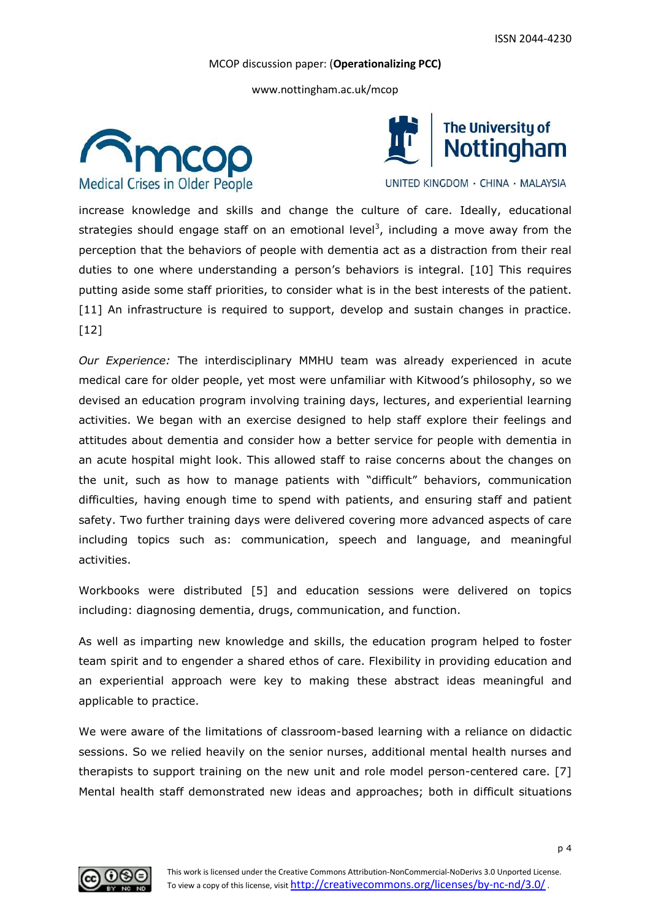www.nottingham.ac.uk/mcop





UNITED KINGDOM · CHINA · MALAYSIA

increase knowledge and skills and change the culture of care. Ideally, educational strategies should engage staff on an emotional level<sup>3</sup>, including a move away from the perception that the behaviors of people with dementia act as a distraction from their real duties to one where understanding a person's behaviors is integral. [10] This requires putting aside some staff priorities, to consider what is in the best interests of the patient. [11] An infrastructure is required to support, develop and sustain changes in practice.  $[12]$ 

*Our Experience:* The interdisciplinary MMHU team was already experienced in acute medical care for older people, yet most were unfamiliar with Kitwood's philosophy, so we devised an education program involving training days, lectures, and experiential learning activities. We began with an exercise designed to help staff explore their feelings and attitudes about dementia and consider how a better service for people with dementia in an acute hospital might look. This allowed staff to raise concerns about the changes on the unit, such as how to manage patients with "difficult" behaviors, communication difficulties, having enough time to spend with patients, and ensuring staff and patient safety. Two further training days were delivered covering more advanced aspects of care including topics such as: communication, speech and language, and meaningful activities.

Workbooks were distributed [5] and education sessions were delivered on topics including: diagnosing dementia, drugs, communication, and function.

As well as imparting new knowledge and skills, the education program helped to foster team spirit and to engender a shared ethos of care. Flexibility in providing education and an experiential approach were key to making these abstract ideas meaningful and applicable to practice.

We were aware of the limitations of classroom-based learning with a reliance on didactic sessions. So we relied heavily on the senior nurses, additional mental health nurses and therapists to support training on the new unit and role model person-centered care. [7] Mental health staff demonstrated new ideas and approaches; both in difficult situations

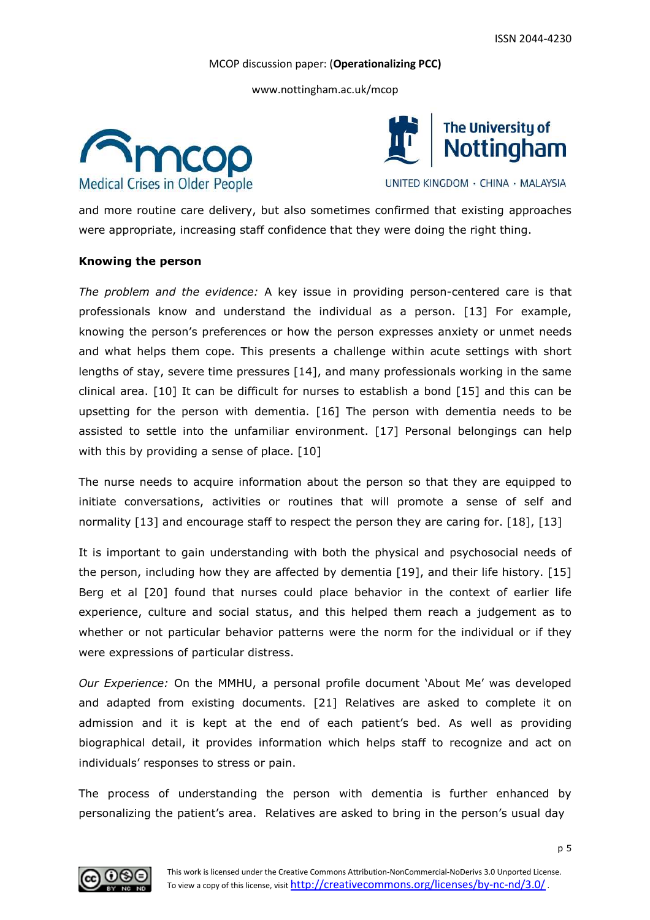www.nottingham.ac.uk/mcop





UNITED KINGDOM · CHINA · MALAYSIA

and more routine care delivery, but also sometimes confirmed that existing approaches were appropriate, increasing staff confidence that they were doing the right thing.

#### **Knowing the person**

*The problem and the evidence:* A key issue in providing person-centered care is that professionals know and understand the individual as a person. [13] For example, knowing the person's preferences or how the person expresses anxiety or unmet needs and what helps them cope. This presents a challenge within acute settings with short lengths of stay, severe time pressures [14], and many professionals working in the same clinical area. [10] It can be difficult for nurses to establish a bond [15] and this can be upsetting for the person with dementia. [16] The person with dementia needs to be assisted to settle into the unfamiliar environment. [17] Personal belongings can help with this by providing a sense of place. [10]

The nurse needs to acquire information about the person so that they are equipped to initiate conversations, activities or routines that will promote a sense of self and normality [13] and encourage staff to respect the person they are caring for. [18], [13]

It is important to gain understanding with both the physical and psychosocial needs of the person, including how they are affected by dementia [19], and their life history. [15] Berg et al [20] found that nurses could place behavior in the context of earlier life experience, culture and social status, and this helped them reach a judgement as to whether or not particular behavior patterns were the norm for the individual or if they were expressions of particular distress.

*Our Experience:* On the MMHU, a personal profile document 'About Me' was developed and adapted from existing documents. [21] Relatives are asked to complete it on admission and it is kept at the end of each patient's bed. As well as providing biographical detail, it provides information which helps staff to recognize and act on individuals' responses to stress or pain.

The process of understanding the person with dementia is further enhanced by personalizing the patient's area. Relatives are asked to bring in the person's usual day

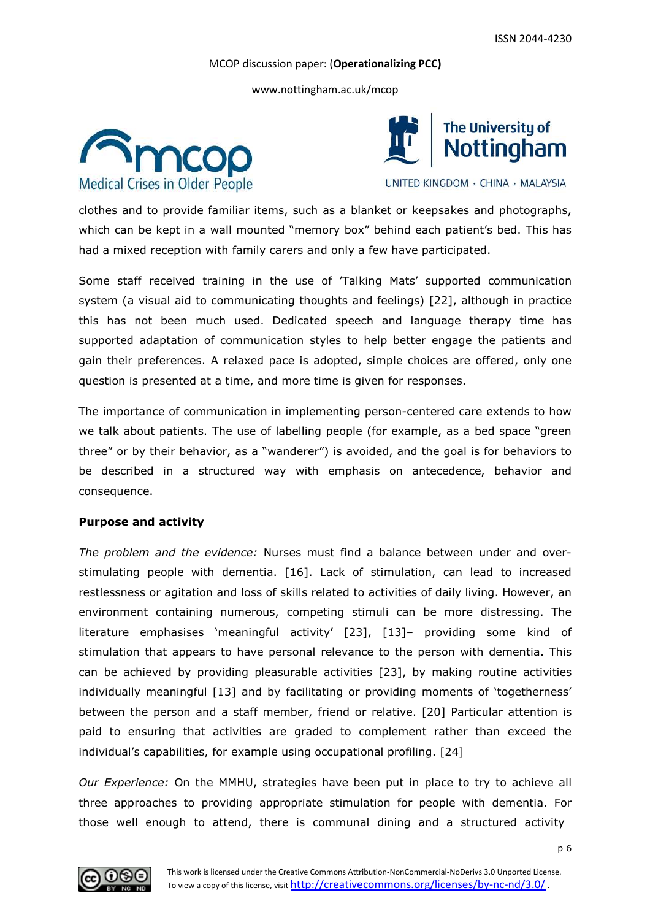www.nottingham.ac.uk/mcop





UNITED KINGDOM · CHINA · MALAYSIA

clothes and to provide familiar items, such as a blanket or keepsakes and photographs, which can be kept in a wall mounted "memory box" behind each patient's bed. This has had a mixed reception with family carers and only a few have participated.

Some staff received training in the use of 'Talking Mats' supported communication system (a visual aid to communicating thoughts and feelings) [22], although in practice this has not been much used. Dedicated speech and language therapy time has supported adaptation of communication styles to help better engage the patients and gain their preferences. A relaxed pace is adopted, simple choices are offered, only one question is presented at a time, and more time is given for responses.

The importance of communication in implementing person-centered care extends to how we talk about patients. The use of labelling people (for example, as a bed space "green three" or by their behavior, as a "wanderer") is avoided, and the goal is for behaviors to be described in a structured way with emphasis on antecedence, behavior and consequence.

#### **Purpose and activity**

*The problem and the evidence:* Nurses must find a balance between under and overstimulating people with dementia. [16]. Lack of stimulation, can lead to increased restlessness or agitation and loss of skills related to activities of daily living. However, an environment containing numerous, competing stimuli can be more distressing. The literature emphasises 'meaningful activity' [23], [13]– providing some kind of stimulation that appears to have personal relevance to the person with dementia. This can be achieved by providing pleasurable activities [23], by making routine activities individually meaningful [13] and by facilitating or providing moments of 'togetherness' between the person and a staff member, friend or relative. [20] Particular attention is paid to ensuring that activities are graded to complement rather than exceed the individual's capabilities, for example using occupational profiling. [24]

*Our Experience:* On the MMHU, strategies have been put in place to try to achieve all three approaches to providing appropriate stimulation for people with dementia. For those well enough to attend, there is communal dining and a structured activity

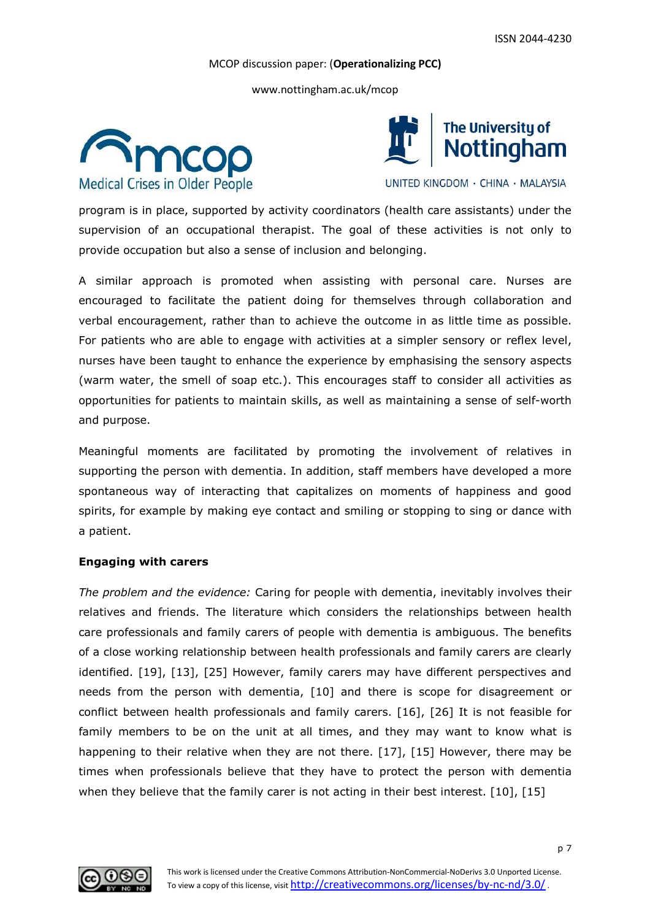www.nottingham.ac.uk/mcop





UNITED KINGDOM · CHINA · MALAYSIA

program is in place, supported by activity coordinators (health care assistants) under the supervision of an occupational therapist. The goal of these activities is not only to provide occupation but also a sense of inclusion and belonging.

A similar approach is promoted when assisting with personal care. Nurses are encouraged to facilitate the patient doing for themselves through collaboration and verbal encouragement, rather than to achieve the outcome in as little time as possible. For patients who are able to engage with activities at a simpler sensory or reflex level, nurses have been taught to enhance the experience by emphasising the sensory aspects (warm water, the smell of soap etc.). This encourages staff to consider all activities as opportunities for patients to maintain skills, as well as maintaining a sense of self-worth and purpose.

Meaningful moments are facilitated by promoting the involvement of relatives in supporting the person with dementia. In addition, staff members have developed a more spontaneous way of interacting that capitalizes on moments of happiness and good spirits, for example by making eye contact and smiling or stopping to sing or dance with a patient.

# **Engaging with carers**

*The problem and the evidence:* Caring for people with dementia, inevitably involves their relatives and friends. The literature which considers the relationships between health care professionals and family carers of people with dementia is ambiguous. The benefits of a close working relationship between health professionals and family carers are clearly identified. [19], [13], [25] However, family carers may have different perspectives and needs from the person with dementia, [10] and there is scope for disagreement or conflict between health professionals and family carers. [16], [26] It is not feasible for family members to be on the unit at all times, and they may want to know what is happening to their relative when they are not there. [17], [15] However, there may be times when professionals believe that they have to protect the person with dementia when they believe that the family carer is not acting in their best interest. [10], [15]

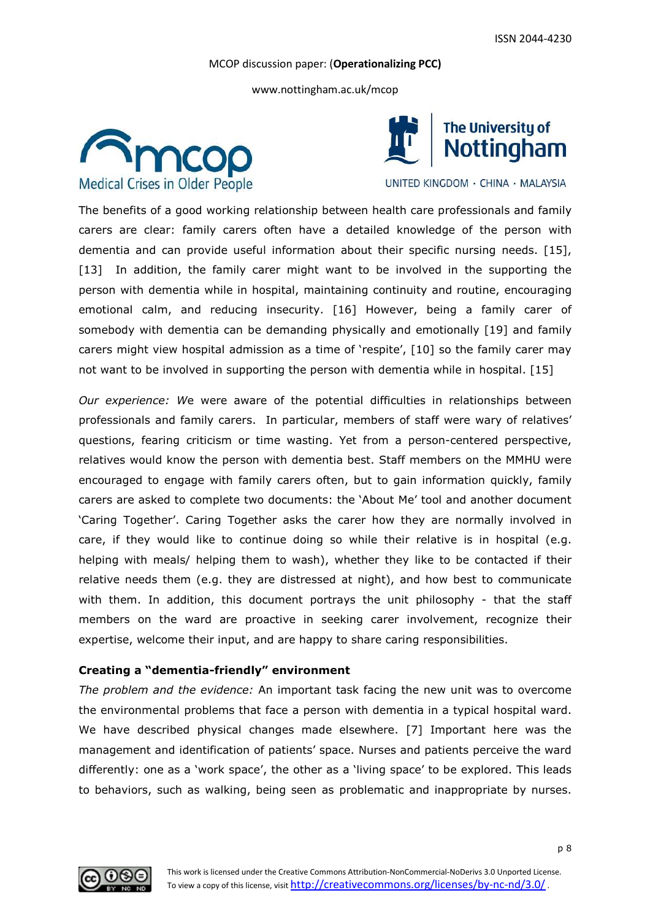www.nottingham.ac.uk/mcop





UNITED KINGDOM · CHINA · MALAYSIA

The benefits of a good working relationship between health care professionals and family carers are clear: family carers often have a detailed knowledge of the person with dementia and can provide useful information about their specific nursing needs. [15], [13] In addition, the family carer might want to be involved in the supporting the person with dementia while in hospital, maintaining continuity and routine, encouraging emotional calm, and reducing insecurity. [16] However, being a family carer of somebody with dementia can be demanding physically and emotionally [19] and family carers might view hospital admission as a time of 'respite', [10] so the family carer may not want to be involved in supporting the person with dementia while in hospital. [15]

*Our experience: W*e were aware of the potential difficulties in relationships between professionals and family carers. In particular, members of staff were wary of relatives' questions, fearing criticism or time wasting. Yet from a person-centered perspective, relatives would know the person with dementia best. Staff members on the MMHU were encouraged to engage with family carers often, but to gain information quickly, family carers are asked to complete two documents: the 'About Me' tool and another document 'Caring Together'. Caring Together asks the carer how they are normally involved in care, if they would like to continue doing so while their relative is in hospital (e.g. helping with meals/ helping them to wash), whether they like to be contacted if their relative needs them (e.g. they are distressed at night), and how best to communicate with them. In addition, this document portrays the unit philosophy - that the staff members on the ward are proactive in seeking carer involvement, recognize their expertise, welcome their input, and are happy to share caring responsibilities.

#### **Creating a "dementia-friendly" environment**

*The problem and the evidence:* An important task facing the new unit was to overcome the environmental problems that face a person with dementia in a typical hospital ward. We have described physical changes made elsewhere. [7] Important here was the management and identification of patients' space. Nurses and patients perceive the ward differently: one as a 'work space', the other as a 'living space' to be explored. This leads to behaviors, such as walking, being seen as problematic and inappropriate by nurses.

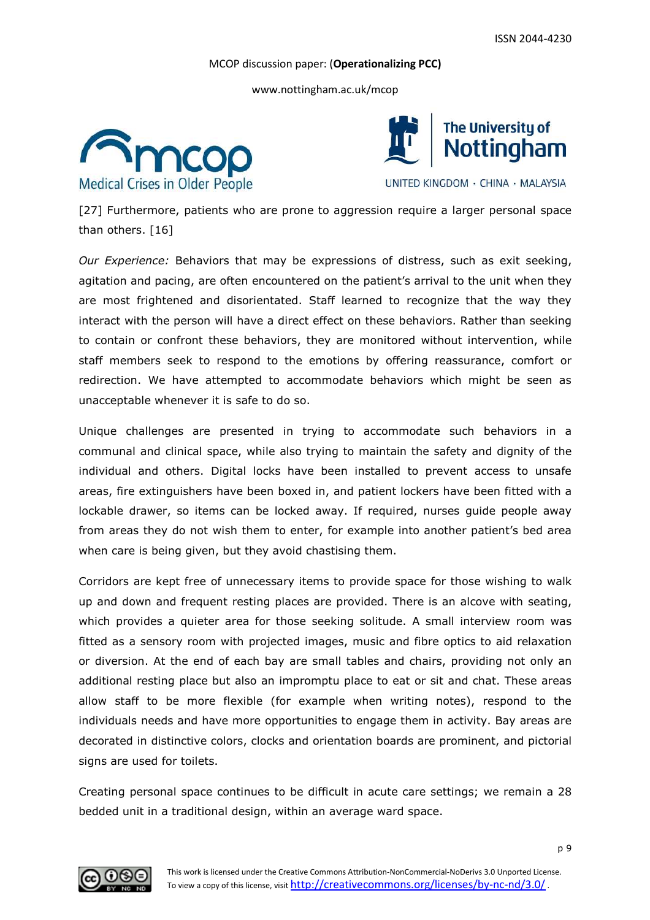www.nottingham.ac.uk/mcop





UNITED KINGDOM · CHINA · MALAYSIA

[27] Furthermore, patients who are prone to aggression require a larger personal space than others. [16]

*Our Experience:* Behaviors that may be expressions of distress, such as exit seeking, agitation and pacing, are often encountered on the patient's arrival to the unit when they are most frightened and disorientated. Staff learned to recognize that the way they interact with the person will have a direct effect on these behaviors. Rather than seeking to contain or confront these behaviors, they are monitored without intervention, while staff members seek to respond to the emotions by offering reassurance, comfort or redirection. We have attempted to accommodate behaviors which might be seen as unacceptable whenever it is safe to do so.

Unique challenges are presented in trying to accommodate such behaviors in a communal and clinical space, while also trying to maintain the safety and dignity of the individual and others. Digital locks have been installed to prevent access to unsafe areas, fire extinguishers have been boxed in, and patient lockers have been fitted with a lockable drawer, so items can be locked away. If required, nurses guide people away from areas they do not wish them to enter, for example into another patient's bed area when care is being given, but they avoid chastising them.

Corridors are kept free of unnecessary items to provide space for those wishing to walk up and down and frequent resting places are provided. There is an alcove with seating, which provides a quieter area for those seeking solitude. A small interview room was fitted as a sensory room with projected images, music and fibre optics to aid relaxation or diversion. At the end of each bay are small tables and chairs, providing not only an additional resting place but also an impromptu place to eat or sit and chat. These areas allow staff to be more flexible (for example when writing notes), respond to the individuals needs and have more opportunities to engage them in activity. Bay areas are decorated in distinctive colors, clocks and orientation boards are prominent, and pictorial signs are used for toilets.

Creating personal space continues to be difficult in acute care settings; we remain a 28 bedded unit in a traditional design, within an average ward space.

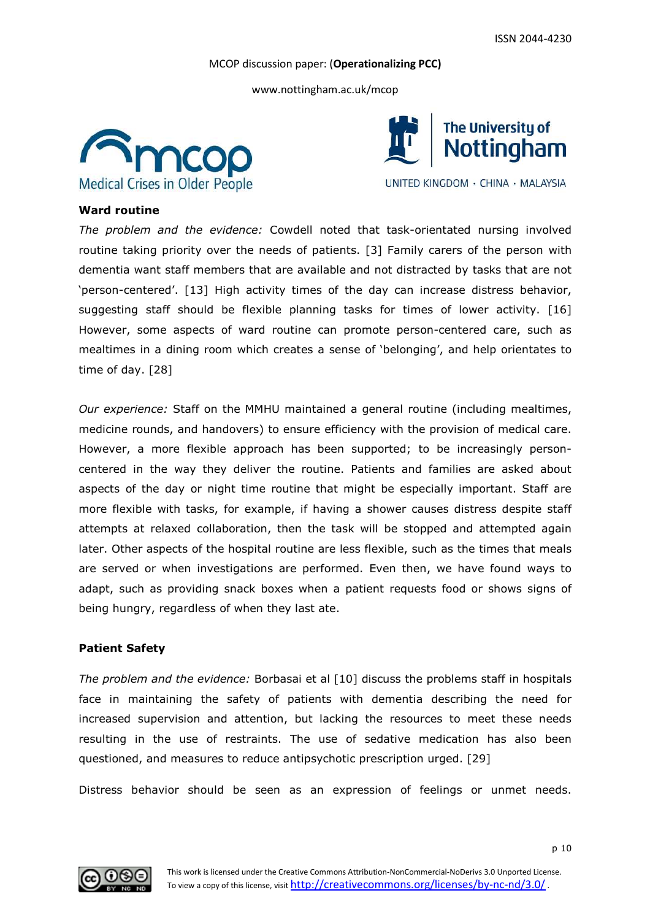www.nottingham.ac.uk/mcop





UNITED KINGDOM · CHINA · MALAYSIA

## **Ward routine**

*The problem and the evidence:* Cowdell noted that task-orientated nursing involved routine taking priority over the needs of patients. [3] Family carers of the person with dementia want staff members that are available and not distracted by tasks that are not 'person-centered'. [13] High activity times of the day can increase distress behavior, suggesting staff should be flexible planning tasks for times of lower activity. [16] However, some aspects of ward routine can promote person-centered care, such as mealtimes in a dining room which creates a sense of 'belonging', and help orientates to time of day. [28]

*Our experience:* Staff on the MMHU maintained a general routine (including mealtimes, medicine rounds, and handovers) to ensure efficiency with the provision of medical care. However, a more flexible approach has been supported; to be increasingly personcentered in the way they deliver the routine. Patients and families are asked about aspects of the day or night time routine that might be especially important. Staff are more flexible with tasks, for example, if having a shower causes distress despite staff attempts at relaxed collaboration, then the task will be stopped and attempted again later. Other aspects of the hospital routine are less flexible, such as the times that meals are served or when investigations are performed. Even then, we have found ways to adapt, such as providing snack boxes when a patient requests food or shows signs of being hungry, regardless of when they last ate.

#### **Patient Safety**

*The problem and the evidence:* Borbasai et al [10] discuss the problems staff in hospitals face in maintaining the safety of patients with dementia describing the need for increased supervision and attention, but lacking the resources to meet these needs resulting in the use of restraints. The use of sedative medication has also been questioned, and measures to reduce antipsychotic prescription urged. [29]

Distress behavior should be seen as an expression of feelings or unmet needs.

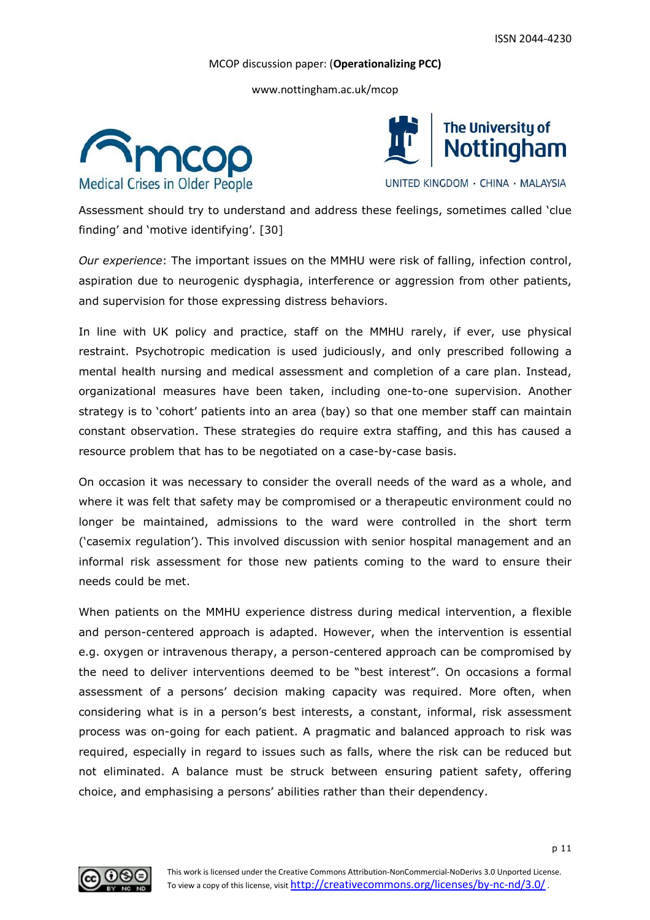www.nottingham.ac.uk/mcop





UNITED KINGDOM · CHINA · MALAYSIA

Assessment should try to understand and address these feelings, sometimes called 'clue finding' and 'motive identifying'. [30]

*Our experience*: The important issues on the MMHU were risk of falling, infection control, aspiration due to neurogenic dysphagia, interference or aggression from other patients, and supervision for those expressing distress behaviors.

In line with UK policy and practice, staff on the MMHU rarely, if ever, use physical restraint. Psychotropic medication is used judiciously, and only prescribed following a mental health nursing and medical assessment and completion of a care plan. Instead, organizational measures have been taken, including one-to-one supervision. Another strategy is to 'cohort' patients into an area (bay) so that one member staff can maintain constant observation. These strategies do require extra staffing, and this has caused a resource problem that has to be negotiated on a case-by-case basis.

On occasion it was necessary to consider the overall needs of the ward as a whole, and where it was felt that safety may be compromised or a therapeutic environment could no longer be maintained, admissions to the ward were controlled in the short term ('casemix regulation'). This involved discussion with senior hospital management and an informal risk assessment for those new patients coming to the ward to ensure their needs could be met.

When patients on the MMHU experience distress during medical intervention, a flexible and person-centered approach is adapted. However, when the intervention is essential e.g. oxygen or intravenous therapy, a person-centered approach can be compromised by the need to deliver interventions deemed to be "best interest". On occasions a formal assessment of a persons' decision making capacity was required. More often, when considering what is in a person's best interests, a constant, informal, risk assessment process was on-going for each patient. A pragmatic and balanced approach to risk was required, especially in regard to issues such as falls, where the risk can be reduced but not eliminated. A balance must be struck between ensuring patient safety, offering choice, and emphasising a persons' abilities rather than their dependency.

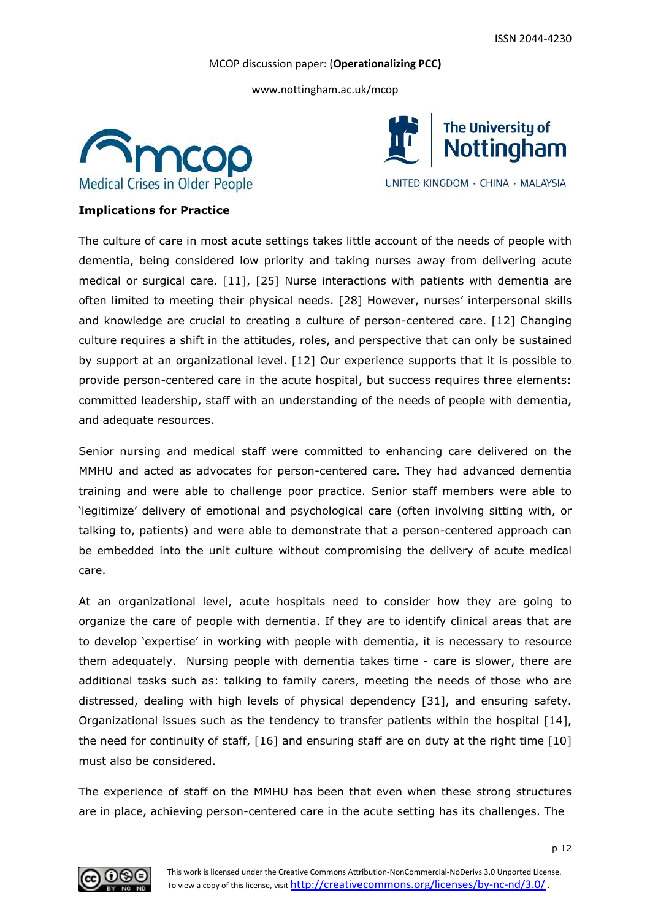www.nottingham.ac.uk/mcop





# **Implications for Practice**

The culture of care in most acute settings takes little account of the needs of people with dementia, being considered low priority and taking nurses away from delivering acute medical or surgical care. [11], [25] Nurse interactions with patients with dementia are often limited to meeting their physical needs. [28] However, nurses' interpersonal skills and knowledge are crucial to creating a culture of person-centered care. [12] Changing culture requires a shift in the attitudes, roles, and perspective that can only be sustained by support at an organizational level. [12] Our experience supports that it is possible to provide person-centered care in the acute hospital, but success requires three elements: committed leadership, staff with an understanding of the needs of people with dementia, and adequate resources.

Senior nursing and medical staff were committed to enhancing care delivered on the MMHU and acted as advocates for person-centered care. They had advanced dementia training and were able to challenge poor practice. Senior staff members were able to 'legitimize' delivery of emotional and psychological care (often involving sitting with, or talking to, patients) and were able to demonstrate that a person-centered approach can be embedded into the unit culture without compromising the delivery of acute medical care.

At an organizational level, acute hospitals need to consider how they are going to organize the care of people with dementia. If they are to identify clinical areas that are to develop 'expertise' in working with people with dementia, it is necessary to resource them adequately. Nursing people with dementia takes time - care is slower, there are additional tasks such as: talking to family carers, meeting the needs of those who are distressed, dealing with high levels of physical dependency [31], and ensuring safety. Organizational issues such as the tendency to transfer patients within the hospital [14], the need for continuity of staff, [16] and ensuring staff are on duty at the right time [10] must also be considered.

The experience of staff on the MMHU has been that even when these strong structures are in place, achieving person-centered care in the acute setting has its challenges. The

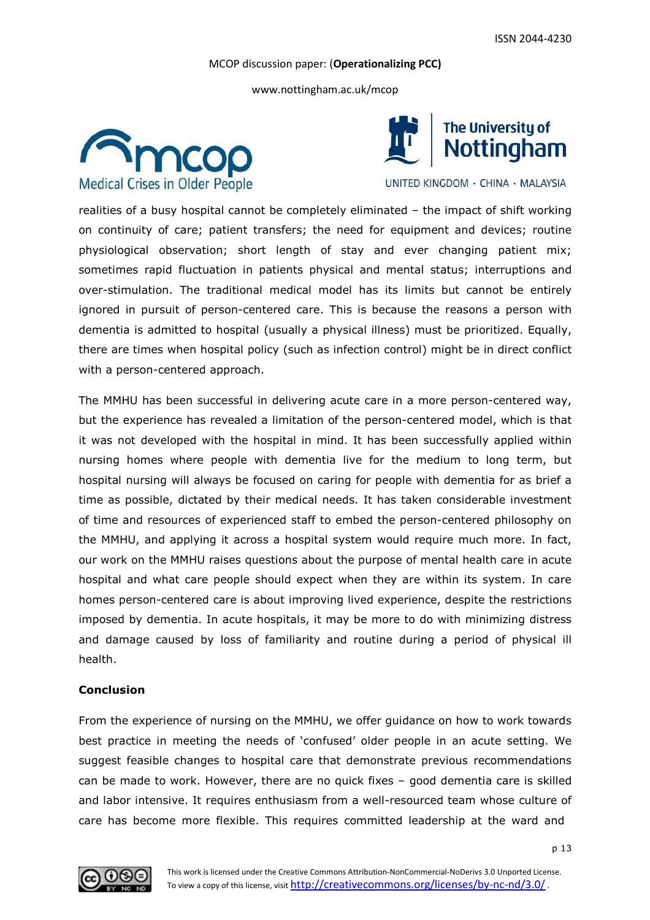www.nottingham.ac.uk/mcop





UNITED KINGDOM · CHINA · MALAYSIA

realities of a busy hospital cannot be completely eliminated – the impact of shift working on continuity of care; patient transfers; the need for equipment and devices; routine physiological observation; short length of stay and ever changing patient mix; sometimes rapid fluctuation in patients physical and mental status; interruptions and over-stimulation. The traditional medical model has its limits but cannot be entirely ignored in pursuit of person-centered care. This is because the reasons a person with dementia is admitted to hospital (usually a physical illness) must be prioritized. Equally, there are times when hospital policy (such as infection control) might be in direct conflict with a person-centered approach.

The MMHU has been successful in delivering acute care in a more person-centered way, but the experience has revealed a limitation of the person-centered model, which is that it was not developed with the hospital in mind. It has been successfully applied within nursing homes where people with dementia live for the medium to long term, but hospital nursing will always be focused on caring for people with dementia for as brief a time as possible, dictated by their medical needs. It has taken considerable investment of time and resources of experienced staff to embed the person-centered philosophy on the MMHU, and applying it across a hospital system would require much more. In fact, our work on the MMHU raises questions about the purpose of mental health care in acute hospital and what care people should expect when they are within its system. In care homes person-centered care is about improving lived experience, despite the restrictions imposed by dementia. In acute hospitals, it may be more to do with minimizing distress and damage caused by loss of familiarity and routine during a period of physical ill health.

#### **Conclusion**

From the experience of nursing on the MMHU, we offer guidance on how to work towards best practice in meeting the needs of 'confused' older people in an acute setting. We suggest feasible changes to hospital care that demonstrate previous recommendations can be made to work. However, there are no quick fixes – good dementia care is skilled and labor intensive. It requires enthusiasm from a well-resourced team whose culture of care has become more flexible. This requires committed leadership at the ward and

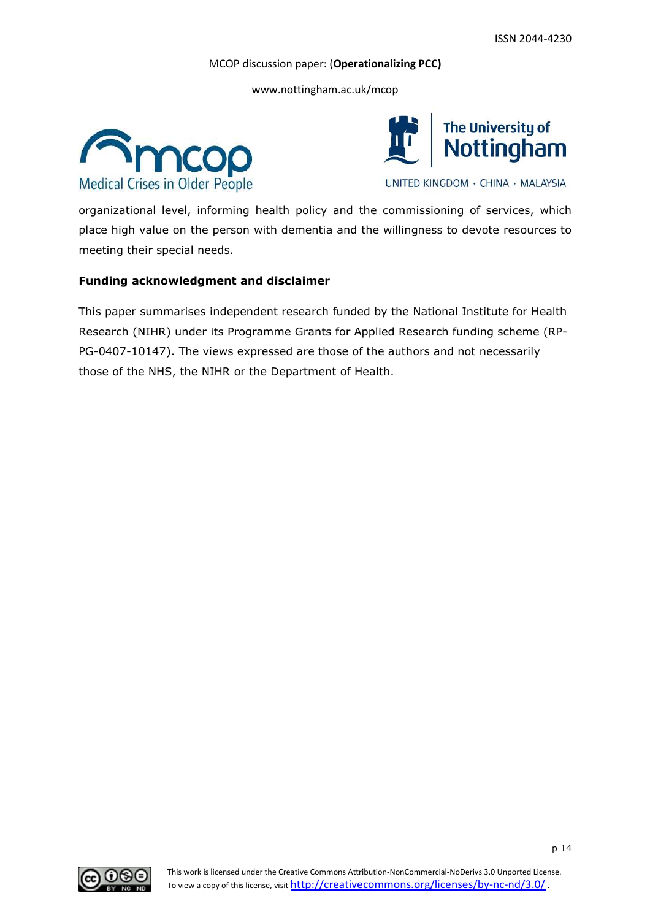www.nottingham.ac.uk/mcop





UNITED KINGDOM · CHINA · MALAYSIA

organizational level, informing health policy and the commissioning of services, which place high value on the person with dementia and the willingness to devote resources to meeting their special needs.

# **Funding acknowledgment and disclaimer**

This paper summarises independent research funded by the National Institute for Health Research (NIHR) under its Programme Grants for Applied Research funding scheme (RP-PG-0407-10147). The views expressed are those of the authors and not necessarily those of the NHS, the NIHR or the Department of Health.

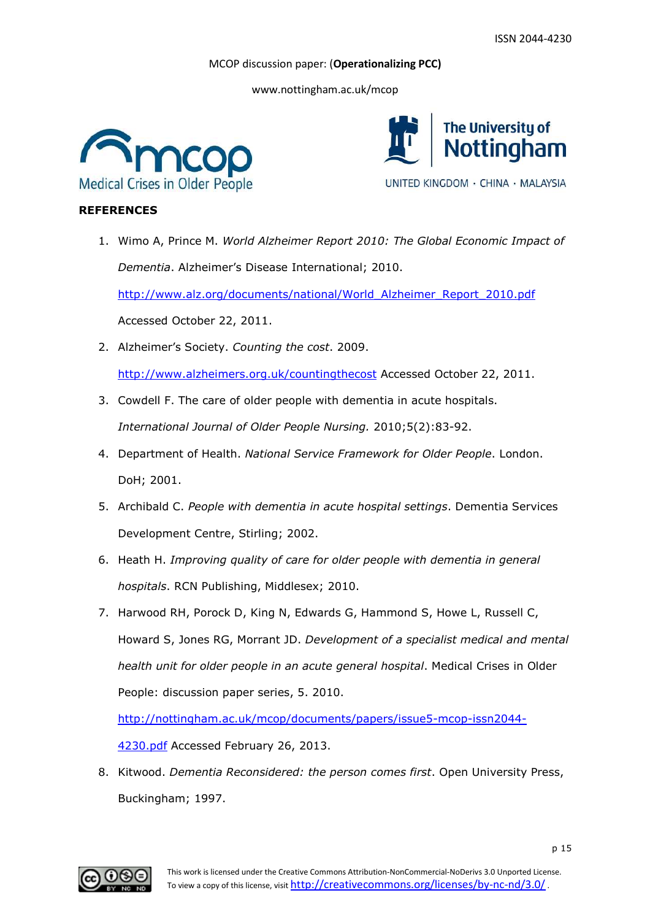www.nottingham.ac.uk/mcop





# **REFERENCES**

1. Wimo A, Prince M. *World Alzheimer Report 2010: The Global Economic Impact of Dementia*. Alzheimer's Disease International; 2010.

http://www.alz.org/documents/national/World\_Alzheimer\_Report\_2010.pdf Accessed October 22, 2011.

- 2. Alzheimer's Society. *Counting the cost*. 2009. http://www.alzheimers.org.uk/countingthecost Accessed October 22, 2011.
- 3. Cowdell F. The care of older people with dementia in acute hospitals. *International Journal of Older People Nursing.* 2010;5(2):83-92.
- 4. Department of Health. *National Service Framework for Older People*. London. DoH; 2001.
- 5. Archibald C. *People with dementia in acute hospital settings*. Dementia Services Development Centre, Stirling; 2002.
- 6. Heath H. *Improving quality of care for older people with dementia in general hospitals*. RCN Publishing, Middlesex; 2010.
- 7. Harwood RH, Porock D, King N, Edwards G, Hammond S, Howe L, Russell C, Howard S, Jones RG, Morrant JD. *Development of a specialist medical and mental health unit for older people in an acute general hospital*. Medical Crises in Older People: discussion paper series, 5. 2010.

http://nottingham.ac.uk/mcop/documents/papers/issue5-mcop-issn2044-

4230.pdf Accessed February 26, 2013.

8. Kitwood. *Dementia Reconsidered: the person comes first*. Open University Press, Buckingham; 1997.

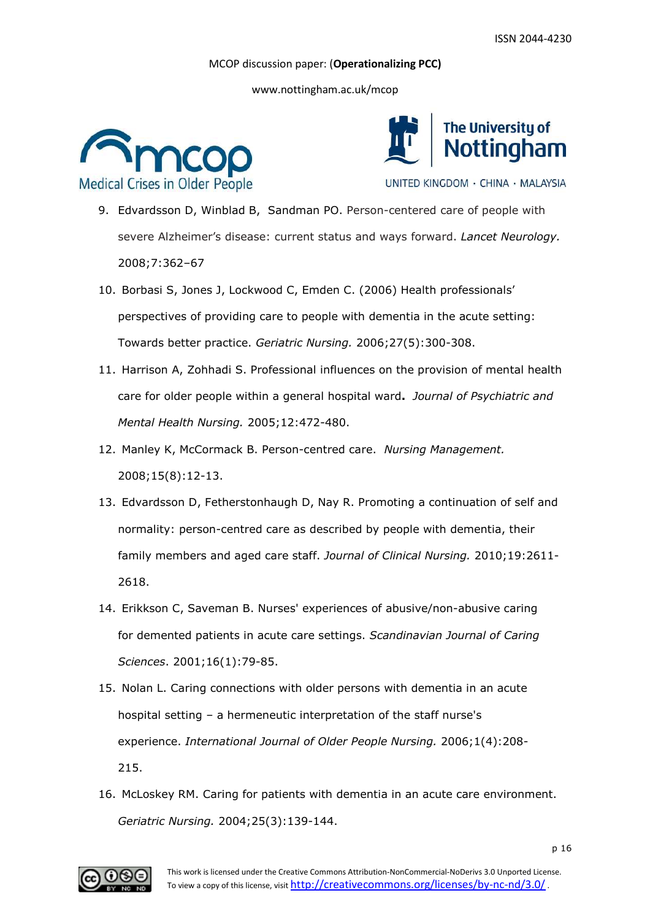www.nottingham.ac.uk/mcop





UNITED KINGDOM · CHINA · MALAYSIA

- 9. Edvardsson D, Winblad B, Sandman PO. Person-centered care of people with severe Alzheimer's disease: current status and ways forward. *Lancet Neurology.* 2008;7:362–67
- 10. Borbasi S, Jones J, Lockwood C, Emden C. (2006) Health professionals' perspectives of providing care to people with dementia in the acute setting: Towards better practice. *Geriatric Nursing.* 2006;27(5):300-308.
- 11. Harrison A, Zohhadi S. Professional influences on the provision of mental health care for older people within a general hospital ward**.** *Journal of Psychiatric and Mental Health Nursing.* 2005;12:472-480.
- 12. Manley K, McCormack B. Person-centred care. *Nursing Management.* 2008;15(8):12-13.
- 13. Edvardsson D, Fetherstonhaugh D, Nay R. Promoting a continuation of self and normality: person-centred care as described by people with dementia, their family members and aged care staff. *Journal of Clinical Nursing.* 2010;19:2611- 2618.
- 14. Erikkson C, Saveman B. Nurses' experiences of abusive/non-abusive caring for demented patients in acute care settings. *Scandinavian Journal of Caring Sciences*. 2001;16(1):79-85.
- 15. Nolan L. Caring connections with older persons with dementia in an acute hospital setting – a hermeneutic interpretation of the staff nurse's experience. *International Journal of Older People Nursing.* 2006;1(4):208- 215.
- 16. McLoskey RM. Caring for patients with dementia in an acute care environment. *Geriatric Nursing.* 2004;25(3):139-144.

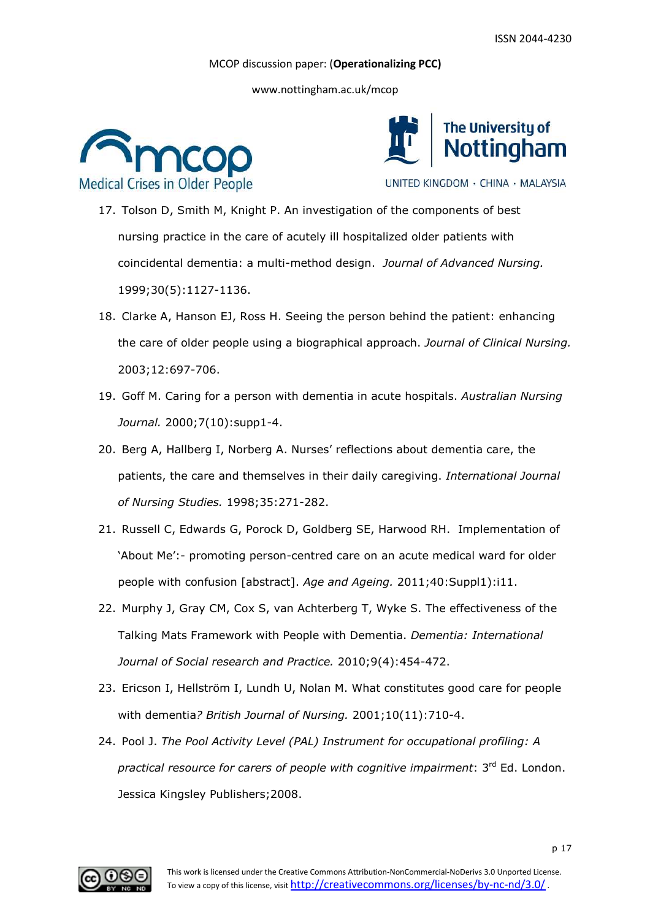www.nottingham.ac.uk/mcop





UNITED KINGDOM · CHINA · MALAYSIA

- 17. Tolson D, Smith M, Knight P. An investigation of the components of best nursing practice in the care of acutely ill hospitalized older patients with coincidental dementia: a multi-method design. *Journal of Advanced Nursing.* 1999;30(5):1127-1136.
- 18. Clarke A, Hanson EJ, Ross H. Seeing the person behind the patient: enhancing the care of older people using a biographical approach. *Journal of Clinical Nursing.* 2003;12:697-706.
- 19. Goff M. Caring for a person with dementia in acute hospitals. *Australian Nursing Journal.* 2000;7(10):supp1-4.
- 20. Berg A, Hallberg I, Norberg A. Nurses' reflections about dementia care, the patients, the care and themselves in their daily caregiving. *International Journal of Nursing Studies.* 1998;35:271-282.
- 21. Russell C, Edwards G, Porock D, Goldberg SE, Harwood RH. Implementation of 'About Me':- promoting person-centred care on an acute medical ward for older people with confusion [abstract]. *Age and Ageing.* 2011;40:Suppl1):i11.
- 22. Murphy J, Gray CM, Cox S, van Achterberg T, Wyke S. The effectiveness of the Talking Mats Framework with People with Dementia. *Dementia: International Journal of Social research and Practice.* 2010;9(4):454-472.
- 23. Ericson I, Hellström I, Lundh U, Nolan M. What constitutes good care for people with dementia*? British Journal of Nursing.* 2001;10(11):710-4.
- 24. Pool J. *The Pool Activity Level (PAL) Instrument for occupational profiling: A* practical resource for carers of people with cognitive impairment: 3<sup>rd</sup> Ed. London. Jessica Kingsley Publishers;2008.